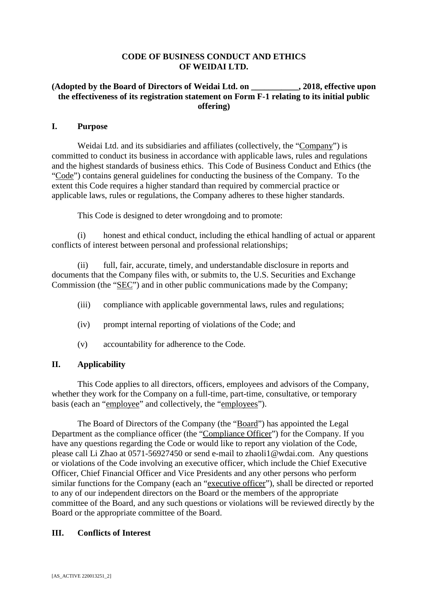# **CODE OF BUSINESS CONDUCT AND ETHICS OF WEIDAI LTD.**

# **(Adopted by the Board of Directors of Weidai Ltd. on \_\_\_\_\_\_\_\_\_\_\_, 2018, effective upon the effectiveness of its registration statement on Form F-1 relating to its initial public offering)**

## **I. Purpose**

Weidai Ltd. and its subsidiaries and affiliates (collectively, the "Company") is committed to conduct its business in accordance with applicable laws, rules and regulations and the highest standards of business ethics. This Code of Business Conduct and Ethics (the "Code") contains general guidelines for conducting the business of the Company. To the extent this Code requires a higher standard than required by commercial practice or applicable laws, rules or regulations, the Company adheres to these higher standards.

This Code is designed to deter wrongdoing and to promote:

(i) honest and ethical conduct, including the ethical handling of actual or apparent conflicts of interest between personal and professional relationships;

(ii) full, fair, accurate, timely, and understandable disclosure in reports and documents that the Company files with, or submits to, the U.S. Securities and Exchange Commission (the "SEC") and in other public communications made by the Company;

- (iii) compliance with applicable governmental laws, rules and regulations;
- (iv) prompt internal reporting of violations of the Code; and
- (v) accountability for adherence to the Code.

# **II. Applicability**

This Code applies to all directors, officers, employees and advisors of the Company, whether they work for the Company on a full-time, part-time, consultative, or temporary basis (each an "employee" and collectively, the "employees").

The Board of Directors of the Company (the "Board") has appointed the Legal Department as the compliance officer (the "Compliance Officer") for the Company. If you have any questions regarding the Code or would like to report any violation of the Code, please call Li Zhao at 0571-56927450 or send e-mail to zhaoli1@wdai.com. Any questions or violations of the Code involving an executive officer, which include the Chief Executive Officer, Chief Financial Officer and Vice Presidents and any other persons who perform similar functions for the Company (each an "executive officer"), shall be directed or reported to any of our independent directors on the Board or the members of the appropriate committee of the Board, and any such questions or violations will be reviewed directly by the Board or the appropriate committee of the Board.

## **III. Conflicts of Interest**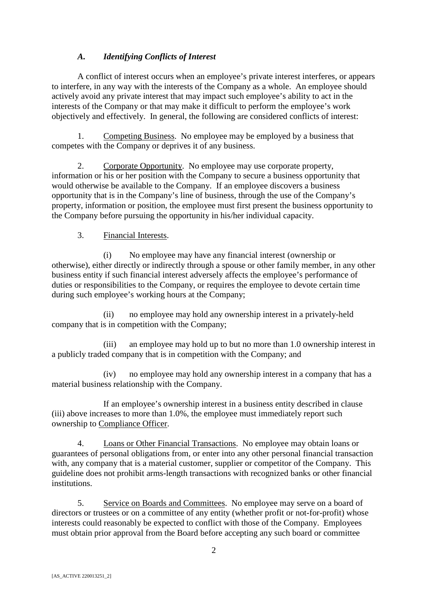# *A. Identifying Conflicts of Interest*

A conflict of interest occurs when an employee's private interest interferes, or appears to interfere, in any way with the interests of the Company as a whole. An employee should actively avoid any private interest that may impact such employee's ability to act in the interests of the Company or that may make it difficult to perform the employee's work objectively and effectively. In general, the following are considered conflicts of interest:

1. Competing Business. No employee may be employed by a business that competes with the Company or deprives it of any business.

2. Corporate Opportunity. No employee may use corporate property, information or his or her position with the Company to secure a business opportunity that would otherwise be available to the Company. If an employee discovers a business opportunity that is in the Company's line of business, through the use of the Company's property, information or position, the employee must first present the business opportunity to the Company before pursuing the opportunity in his/her individual capacity.

# 3. Financial Interests.

(i) No employee may have any financial interest (ownership or otherwise), either directly or indirectly through a spouse or other family member, in any other business entity if such financial interest adversely affects the employee's performance of duties or responsibilities to the Company, or requires the employee to devote certain time during such employee's working hours at the Company;

(ii) no employee may hold any ownership interest in a privately-held company that is in competition with the Company;

(iii) an employee may hold up to but no more than 1.0 ownership interest in a publicly traded company that is in competition with the Company; and

(iv) no employee may hold any ownership interest in a company that has a material business relationship with the Company.

If an employee's ownership interest in a business entity described in clause (iii) above increases to more than 1.0%, the employee must immediately report such ownership to Compliance Officer.

4. Loans or Other Financial Transactions. No employee may obtain loans or guarantees of personal obligations from, or enter into any other personal financial transaction with, any company that is a material customer, supplier or competitor of the Company. This guideline does not prohibit arms-length transactions with recognized banks or other financial institutions.

5. Service on Boards and Committees. No employee may serve on a board of directors or trustees or on a committee of any entity (whether profit or not-for-profit) whose interests could reasonably be expected to conflict with those of the Company. Employees must obtain prior approval from the Board before accepting any such board or committee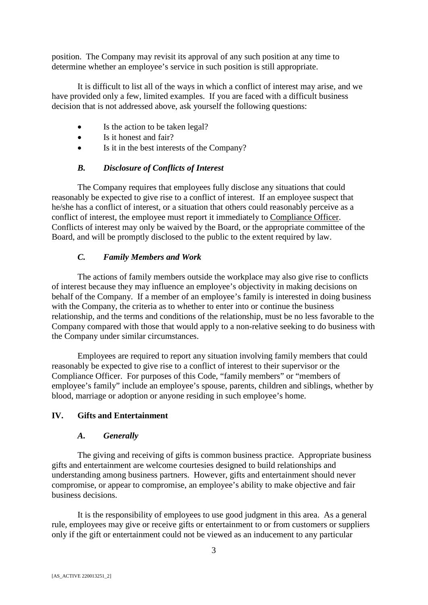position. The Company may revisit its approval of any such position at any time to determine whether an employee's service in such position is still appropriate.

It is difficult to list all of the ways in which a conflict of interest may arise, and we have provided only a few, limited examples. If you are faced with a difficult business decision that is not addressed above, ask yourself the following questions:

- Is the action to be taken legal?
- Is it honest and fair?
- Is it in the best interests of the Company?

# *B. Disclosure of Conflicts of Interest*

The Company requires that employees fully disclose any situations that could reasonably be expected to give rise to a conflict of interest. If an employee suspect that he/she has a conflict of interest, or a situation that others could reasonably perceive as a conflict of interest, the employee must report it immediately to Compliance Officer. Conflicts of interest may only be waived by the Board, or the appropriate committee of the Board, and will be promptly disclosed to the public to the extent required by law.

# *C. Family Members and Work*

The actions of family members outside the workplace may also give rise to conflicts of interest because they may influence an employee's objectivity in making decisions on behalf of the Company. If a member of an employee's family is interested in doing business with the Company, the criteria as to whether to enter into or continue the business relationship, and the terms and conditions of the relationship, must be no less favorable to the Company compared with those that would apply to a non-relative seeking to do business with the Company under similar circumstances.

Employees are required to report any situation involving family members that could reasonably be expected to give rise to a conflict of interest to their supervisor or the Compliance Officer. For purposes of this Code, "family members" or "members of employee's family" include an employee's spouse, parents, children and siblings, whether by blood, marriage or adoption or anyone residing in such employee's home.

## **IV. Gifts and Entertainment**

## *A. Generally*

The giving and receiving of gifts is common business practice. Appropriate business gifts and entertainment are welcome courtesies designed to build relationships and understanding among business partners. However, gifts and entertainment should never compromise, or appear to compromise, an employee's ability to make objective and fair business decisions.

It is the responsibility of employees to use good judgment in this area. As a general rule, employees may give or receive gifts or entertainment to or from customers or suppliers only if the gift or entertainment could not be viewed as an inducement to any particular

3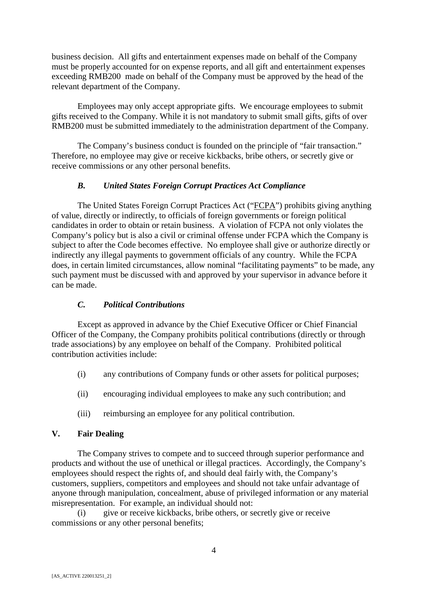business decision. All gifts and entertainment expenses made on behalf of the Company must be properly accounted for on expense reports, and all gift and entertainment expenses exceeding RMB200 made on behalf of the Company must be approved by the head of the relevant department of the Company.

Employees may only accept appropriate gifts. We encourage employees to submit gifts received to the Company. While it is not mandatory to submit small gifts, gifts of over RMB200 must be submitted immediately to the administration department of the Company.

The Company's business conduct is founded on the principle of "fair transaction." Therefore, no employee may give or receive kickbacks, bribe others, or secretly give or receive commissions or any other personal benefits.

## *B. United States Foreign Corrupt Practices Act Compliance*

The United States Foreign Corrupt Practices Act ("FCPA") prohibits giving anything of value, directly or indirectly, to officials of foreign governments or foreign political candidates in order to obtain or retain business. A violation of FCPA not only violates the Company's policy but is also a civil or criminal offense under FCPA which the Company is subject to after the Code becomes effective. No employee shall give or authorize directly or indirectly any illegal payments to government officials of any country. While the FCPA does, in certain limited circumstances, allow nominal "facilitating payments" to be made, any such payment must be discussed with and approved by your supervisor in advance before it can be made.

## *C. Political Contributions*

Except as approved in advance by the Chief Executive Officer or Chief Financial Officer of the Company, the Company prohibits political contributions (directly or through trade associations) by any employee on behalf of the Company. Prohibited political contribution activities include:

- (i) any contributions of Company funds or other assets for political purposes;
- (ii) encouraging individual employees to make any such contribution; and
- (iii) reimbursing an employee for any political contribution.

# **V. Fair Dealing**

The Company strives to compete and to succeed through superior performance and products and without the use of unethical or illegal practices. Accordingly, the Company's employees should respect the rights of, and should deal fairly with, the Company's customers, suppliers, competitors and employees and should not take unfair advantage of anyone through manipulation, concealment, abuse of privileged information or any material misrepresentation. For example, an individual should not:

(i) give or receive kickbacks, bribe others, or secretly give or receive commissions or any other personal benefits;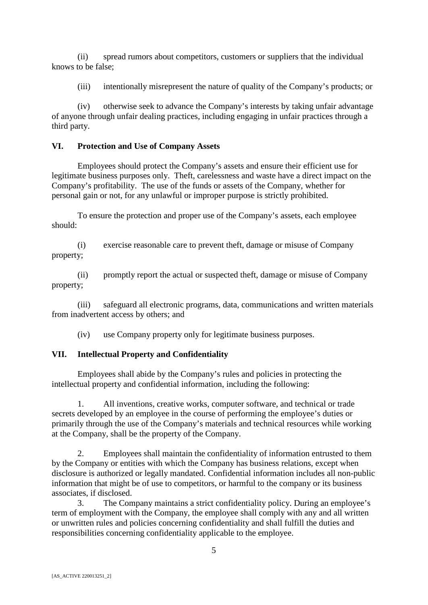(ii) spread rumors about competitors, customers or suppliers that the individual knows to be false;

(iii) intentionally misrepresent the nature of quality of the Company's products; or

(iv) otherwise seek to advance the Company's interests by taking unfair advantage of anyone through unfair dealing practices, including engaging in unfair practices through a third party.

# **VI. Protection and Use of Company Assets**

Employees should protect the Company's assets and ensure their efficient use for legitimate business purposes only. Theft, carelessness and waste have a direct impact on the Company's profitability. The use of the funds or assets of the Company, whether for personal gain or not, for any unlawful or improper purpose is strictly prohibited.

To ensure the protection and proper use of the Company's assets, each employee should:

(i) exercise reasonable care to prevent theft, damage or misuse of Company property;

(ii) promptly report the actual or suspected theft, damage or misuse of Company property;

(iii) safeguard all electronic programs, data, communications and written materials from inadvertent access by others; and

(iv) use Company property only for legitimate business purposes.

# **VII. Intellectual Property and Confidentiality**

Employees shall abide by the Company's rules and policies in protecting the intellectual property and confidential information, including the following:

1. All inventions, creative works, computer software, and technical or trade secrets developed by an employee in the course of performing the employee's duties or primarily through the use of the Company's materials and technical resources while working at the Company, shall be the property of the Company.

2. Employees shall maintain the confidentiality of information entrusted to them by the Company or entities with which the Company has business relations, except when disclosure is authorized or legally mandated. Confidential information includes all non-public information that might be of use to competitors, or harmful to the company or its business associates, if disclosed.

3. The Company maintains a strict confidentiality policy. During an employee's term of employment with the Company, the employee shall comply with any and all written or unwritten rules and policies concerning confidentiality and shall fulfill the duties and responsibilities concerning confidentiality applicable to the employee.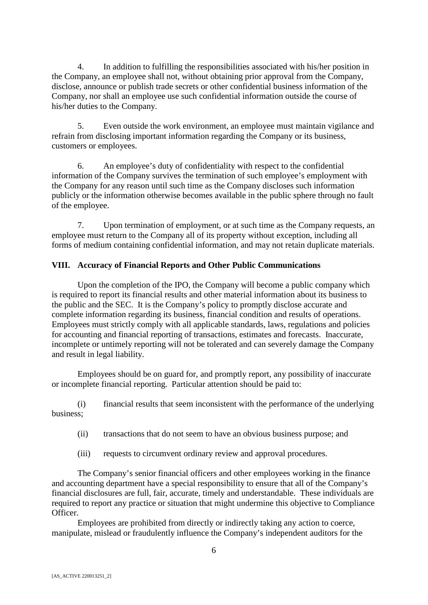4. In addition to fulfilling the responsibilities associated with his/her position in the Company, an employee shall not, without obtaining prior approval from the Company, disclose, announce or publish trade secrets or other confidential business information of the Company, nor shall an employee use such confidential information outside the course of his/her duties to the Company.

5. Even outside the work environment, an employee must maintain vigilance and refrain from disclosing important information regarding the Company or its business, customers or employees.

6. An employee's duty of confidentiality with respect to the confidential information of the Company survives the termination of such employee's employment with the Company for any reason until such time as the Company discloses such information publicly or the information otherwise becomes available in the public sphere through no fault of the employee.

7. Upon termination of employment, or at such time as the Company requests, an employee must return to the Company all of its property without exception, including all forms of medium containing confidential information, and may not retain duplicate materials.

# **VIII. Accuracy of Financial Reports and Other Public Communications**

Upon the completion of the IPO, the Company will become a public company which is required to report its financial results and other material information about its business to the public and the SEC. It is the Company's policy to promptly disclose accurate and complete information regarding its business, financial condition and results of operations. Employees must strictly comply with all applicable standards, laws, regulations and policies for accounting and financial reporting of transactions, estimates and forecasts. Inaccurate, incomplete or untimely reporting will not be tolerated and can severely damage the Company and result in legal liability.

Employees should be on guard for, and promptly report, any possibility of inaccurate or incomplete financial reporting. Particular attention should be paid to:

(i) financial results that seem inconsistent with the performance of the underlying business;

- (ii) transactions that do not seem to have an obvious business purpose; and
- (iii) requests to circumvent ordinary review and approval procedures.

The Company's senior financial officers and other employees working in the finance and accounting department have a special responsibility to ensure that all of the Company's financial disclosures are full, fair, accurate, timely and understandable. These individuals are required to report any practice or situation that might undermine this objective to Compliance Officer.

Employees are prohibited from directly or indirectly taking any action to coerce, manipulate, mislead or fraudulently influence the Company's independent auditors for the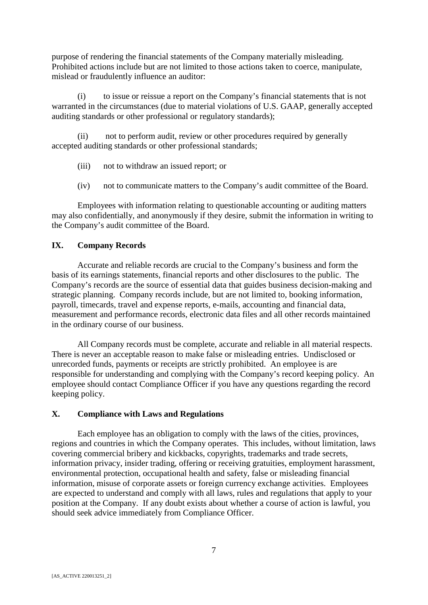purpose of rendering the financial statements of the Company materially misleading. Prohibited actions include but are not limited to those actions taken to coerce, manipulate, mislead or fraudulently influence an auditor:

(i) to issue or reissue a report on the Company's financial statements that is not warranted in the circumstances (due to material violations of U.S. GAAP, generally accepted auditing standards or other professional or regulatory standards);

(ii) not to perform audit, review or other procedures required by generally accepted auditing standards or other professional standards;

- (iii) not to withdraw an issued report; or
- (iv) not to communicate matters to the Company's audit committee of the Board.

Employees with information relating to questionable accounting or auditing matters may also confidentially, and anonymously if they desire, submit the information in writing to the Company's audit committee of the Board.

#### **IX. Company Records**

Accurate and reliable records are crucial to the Company's business and form the basis of its earnings statements, financial reports and other disclosures to the public. The Company's records are the source of essential data that guides business decision-making and strategic planning. Company records include, but are not limited to, booking information, payroll, timecards, travel and expense reports, e-mails, accounting and financial data, measurement and performance records, electronic data files and all other records maintained in the ordinary course of our business.

All Company records must be complete, accurate and reliable in all material respects. There is never an acceptable reason to make false or misleading entries. Undisclosed or unrecorded funds, payments or receipts are strictly prohibited. An employee is are responsible for understanding and complying with the Company's record keeping policy. An employee should contact Compliance Officer if you have any questions regarding the record keeping policy.

## **X. Compliance with Laws and Regulations**

Each employee has an obligation to comply with the laws of the cities, provinces, regions and countries in which the Company operates. This includes, without limitation, laws covering commercial bribery and kickbacks, copyrights, trademarks and trade secrets, information privacy, insider trading, offering or receiving gratuities, employment harassment, environmental protection, occupational health and safety, false or misleading financial information, misuse of corporate assets or foreign currency exchange activities. Employees are expected to understand and comply with all laws, rules and regulations that apply to your position at the Company. If any doubt exists about whether a course of action is lawful, you should seek advice immediately from Compliance Officer.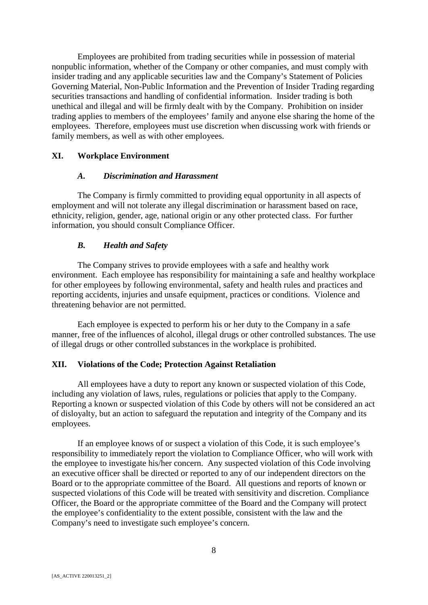Employees are prohibited from trading securities while in possession of material nonpublic information, whether of the Company or other companies, and must comply with insider trading and any applicable securities law and the Company's Statement of Policies Governing Material, Non-Public Information and the Prevention of Insider Trading regarding securities transactions and handling of confidential information. Insider trading is both unethical and illegal and will be firmly dealt with by the Company. Prohibition on insider trading applies to members of the employees' family and anyone else sharing the home of the employees. Therefore, employees must use discretion when discussing work with friends or family members, as well as with other employees.

## **XI. Workplace Environment**

#### *A. Discrimination and Harassment*

The Company is firmly committed to providing equal opportunity in all aspects of employment and will not tolerate any illegal discrimination or harassment based on race, ethnicity, religion, gender, age, national origin or any other protected class. For further information, you should consult Compliance Officer.

#### *B. Health and Safety*

The Company strives to provide employees with a safe and healthy work environment. Each employee has responsibility for maintaining a safe and healthy workplace for other employees by following environmental, safety and health rules and practices and reporting accidents, injuries and unsafe equipment, practices or conditions. Violence and threatening behavior are not permitted.

Each employee is expected to perform his or her duty to the Company in a safe manner, free of the influences of alcohol, illegal drugs or other controlled substances. The use of illegal drugs or other controlled substances in the workplace is prohibited.

#### **XII. Violations of the Code; Protection Against Retaliation**

All employees have a duty to report any known or suspected violation of this Code, including any violation of laws, rules, regulations or policies that apply to the Company. Reporting a known or suspected violation of this Code by others will not be considered an act of disloyalty, but an action to safeguard the reputation and integrity of the Company and its employees.

If an employee knows of or suspect a violation of this Code, it is such employee's responsibility to immediately report the violation to Compliance Officer, who will work with the employee to investigate his/her concern. Any suspected violation of this Code involving an executive officer shall be directed or reported to any of our independent directors on the Board or to the appropriate committee of the Board. All questions and reports of known or suspected violations of this Code will be treated with sensitivity and discretion. Compliance Officer, the Board or the appropriate committee of the Board and the Company will protect the employee's confidentiality to the extent possible, consistent with the law and the Company's need to investigate such employee's concern.